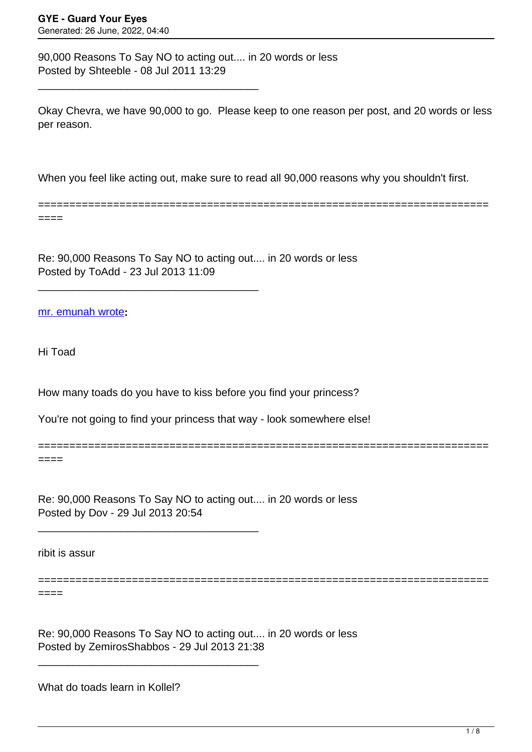90,000 Reasons To Say NO to acting out.... in 20 words or less Posted by Shteeble - 08 Jul 2011 13:29

\_\_\_\_\_\_\_\_\_\_\_\_\_\_\_\_\_\_\_\_\_\_\_\_\_\_\_\_\_\_\_\_\_\_\_\_\_

\_\_\_\_\_\_\_\_\_\_\_\_\_\_\_\_\_\_\_\_\_\_\_\_\_\_\_\_\_\_\_\_\_\_\_\_\_

\_\_\_\_\_\_\_\_\_\_\_\_\_\_\_\_\_\_\_\_\_\_\_\_\_\_\_\_\_\_\_\_\_\_\_\_\_

\_\_\_\_\_\_\_\_\_\_\_\_\_\_\_\_\_\_\_\_\_\_\_\_\_\_\_\_\_\_\_\_\_\_\_\_\_

Okay Chevra, we have 90,000 to go. Please keep to one reason per post, and 20 words or less per reason.

When you feel like acting out, make sure to read all 90,000 reasons why you shouldn't first.

========================================================================

========================================================================

========================================================================

====

Re: 90,000 Reasons To Say NO to acting out.... in 20 words or less Posted by ToAdd - 23 Jul 2013 11:09

[mr. emunah wrote](/forum/id-212635)**:**

Hi Toad

How many toads do you have to kiss before you find your princess?

You're not going to find your princess that way - look somewhere else!

====

Re: 90,000 Reasons To Say NO to acting out.... in 20 words or less Posted by Dov - 29 Jul 2013 20:54

ribit is assur

====

Re: 90,000 Reasons To Say NO to acting out.... in 20 words or less Posted by ZemirosShabbos - 29 Jul 2013 21:38

What do toads learn in Kollel?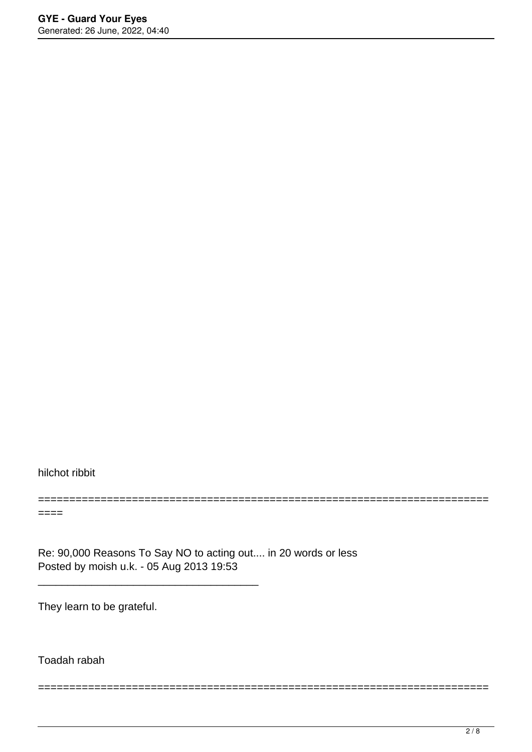hilchot ribbit

====

Re: 90,000 Reasons To Say NO to acting out.... in 20 words or less Posted by moish u.k. - 05 Aug 2013 19:53

\_\_\_\_\_\_\_\_\_\_\_\_\_\_\_\_\_\_\_\_\_\_\_\_\_\_\_\_\_\_\_\_\_\_\_\_\_

========================================================================

========================================================================

They learn to be grateful.

Toadah rabah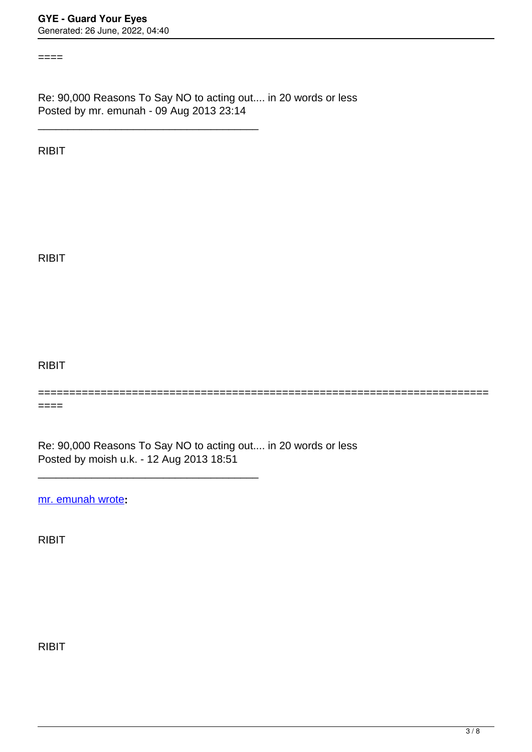$====$ 

Re: 90,000 Reasons To Say NO to acting out.... in 20 words or less Posted by mr. emunah - 09 Aug 2013 23:14

\_\_\_\_\_\_\_\_\_\_\_\_\_\_\_\_\_\_\_\_\_\_\_\_\_\_\_\_\_\_\_\_\_\_\_\_\_

RIBIT

RIBIT

RIBIT

========================================================================

 $====$ 

Re: 90,000 Reasons To Say NO to acting out.... in 20 words or less Posted by moish u.k. - 12 Aug 2013 18:51

\_\_\_\_\_\_\_\_\_\_\_\_\_\_\_\_\_\_\_\_\_\_\_\_\_\_\_\_\_\_\_\_\_\_\_\_\_

[mr. emunah wrote](/forum/id-215692)**:**

RIBIT

RIBIT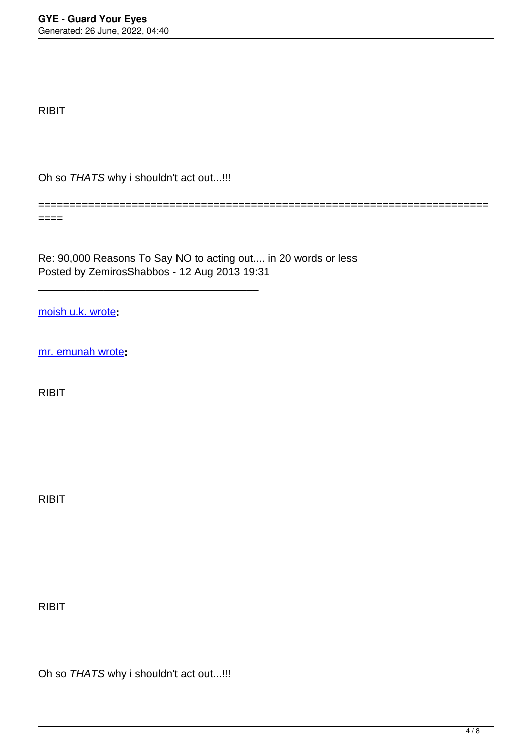RIBIT

Oh so THATS why i shouldn't act out...!!!

\_\_\_\_\_\_\_\_\_\_\_\_\_\_\_\_\_\_\_\_\_\_\_\_\_\_\_\_\_\_\_\_\_\_\_\_\_

====

Re: 90,000 Reasons To Say NO to acting out.... in 20 words or less Posted by ZemirosShabbos - 12 Aug 2013 19:31

========================================================================

[moish u.k. wrote](/forum/id-215828)**:**

[mr. emunah wrote](/forum/id-215692)**:**

RIBIT

RIBIT

RIBIT

Oh so THATS why i shouldn't act out...!!!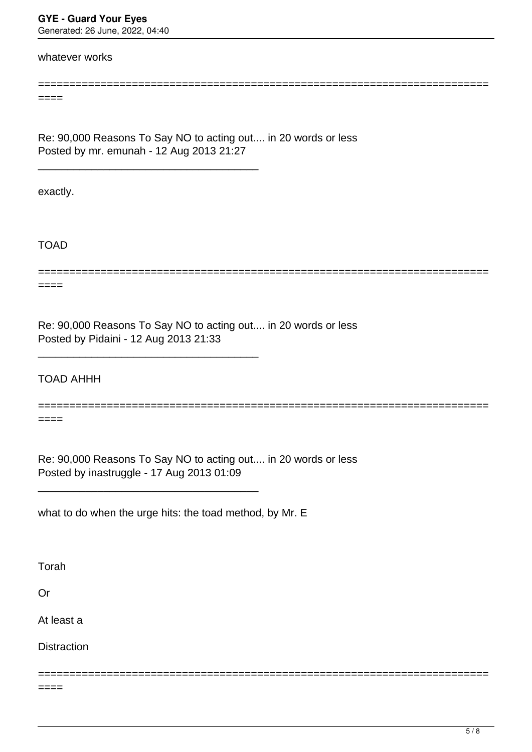**GYE - Guard Your Eyes** Generated: 26 June, 2022, 04:40

whatever works

====

Re: 90,000 Reasons To Say NO to acting out.... in 20 words or less Posted by mr. emunah - 12 Aug 2013 21:27

\_\_\_\_\_\_\_\_\_\_\_\_\_\_\_\_\_\_\_\_\_\_\_\_\_\_\_\_\_\_\_\_\_\_\_\_\_

\_\_\_\_\_\_\_\_\_\_\_\_\_\_\_\_\_\_\_\_\_\_\_\_\_\_\_\_\_\_\_\_\_\_\_\_\_

\_\_\_\_\_\_\_\_\_\_\_\_\_\_\_\_\_\_\_\_\_\_\_\_\_\_\_\_\_\_\_\_\_\_\_\_\_

exactly.

TOAD

====

========================================================================

========================================================================

Re: 90,000 Reasons To Say NO to acting out.... in 20 words or less Posted by Pidaini - 12 Aug 2013 21:33

TOAD AHHH

======================================================================== ====

========================================================================

Re: 90,000 Reasons To Say NO to acting out.... in 20 words or less Posted by inastruggle - 17 Aug 2013 01:09

what to do when the urge hits: the toad method, by Mr. E

Torah

Or

At least a

**Distraction** 

 $====$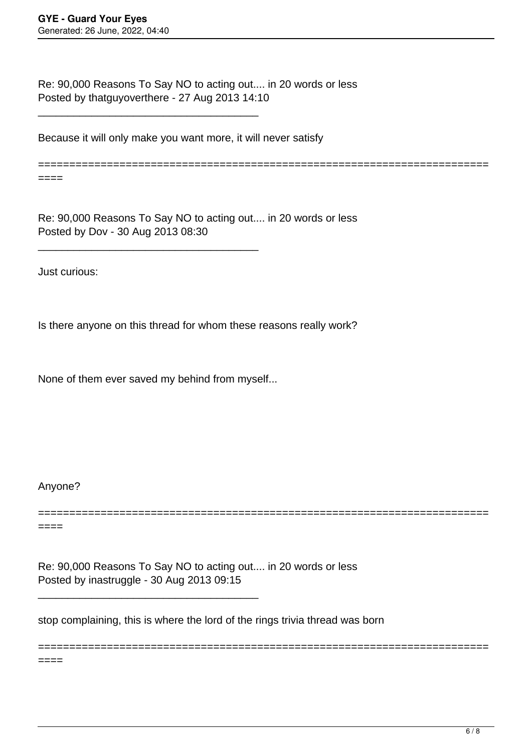Re: 90,000 Reasons To Say NO to acting out.... in 20 words or less Posted by thatguyoverthere - 27 Aug 2013 14:10

Because it will only make you want more, it will never satisfy

\_\_\_\_\_\_\_\_\_\_\_\_\_\_\_\_\_\_\_\_\_\_\_\_\_\_\_\_\_\_\_\_\_\_\_\_\_

\_\_\_\_\_\_\_\_\_\_\_\_\_\_\_\_\_\_\_\_\_\_\_\_\_\_\_\_\_\_\_\_\_\_\_\_\_

========================================================================

Re: 90,000 Reasons To Say NO to acting out.... in 20 words or less Posted by Dov - 30 Aug 2013 08:30

Just curious:

====

Is there anyone on this thread for whom these reasons really work?

None of them ever saved my behind from myself...

\_\_\_\_\_\_\_\_\_\_\_\_\_\_\_\_\_\_\_\_\_\_\_\_\_\_\_\_\_\_\_\_\_\_\_\_\_

Anyone?

====

======================================================================== ====

========================================================================

Re: 90,000 Reasons To Say NO to acting out.... in 20 words or less Posted by inastruggle - 30 Aug 2013 09:15

stop complaining, this is where the lord of the rings trivia thread was born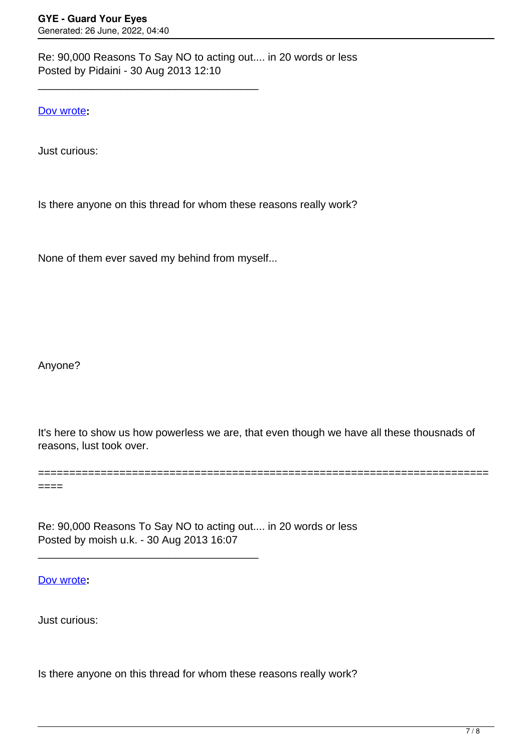Re: 90,000 Reasons To Say NO to acting out.... in 20 words or less Posted by Pidaini - 30 Aug 2013 12:10

[Dov wrote](/forum/id-217904)**:**

Just curious:

Is there anyone on this thread for whom these reasons really work?

None of them ever saved my behind from myself...

\_\_\_\_\_\_\_\_\_\_\_\_\_\_\_\_\_\_\_\_\_\_\_\_\_\_\_\_\_\_\_\_\_\_\_\_\_

Anyone?

It's here to show us how powerless we are, that even though we have all these thousnads of reasons, lust took over.

========================================================================

 $====$ 

Re: 90,000 Reasons To Say NO to acting out.... in 20 words or less Posted by moish u.k. - 30 Aug 2013 16:07

\_\_\_\_\_\_\_\_\_\_\_\_\_\_\_\_\_\_\_\_\_\_\_\_\_\_\_\_\_\_\_\_\_\_\_\_\_

[Dov wrote](/forum/id-217904)**:**

Just curious:

Is there anyone on this thread for whom these reasons really work?